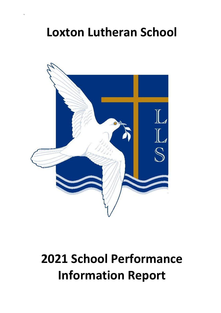# **Loxton Lutheran School**

`



# **2021 School Performance Information Report**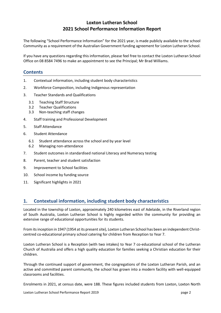# **Loxton Lutheran School 2021 School Performance Information Report**

The following "School Performance Information" for the 2021 year, is made publicly available to the school Community as a requirement of the Australian Government funding agreement for Loxton Lutheran School.

If you have any questions regarding this information, please feel free to contact the Loxton Lutheran School Office on 08 8584 7496 to make an appointment to see the Principal; Mr Brad Williams.

# **Contents**

- 1. Contextual information, including student body characteristics
- 2. Workforce Composition, including Indigenous representation
- 3. Teacher Standards and Qualifications
	- 3.1 Teaching Staff Structure
	- 3.2 Teacher Qualifications
	- 3.3 Non-teaching staff changes
- 4. Staff training and Professional Development
- 5. Staff Attendance
- 6. Student Attendance
	- 6.1 Student attendance across the school and by year level
	- 6.2 Managing non-attendance
- 7. Student outcomes in standardised national Literacy and Numeracy testing
- 8. Parent, teacher and student satisfaction
- 9. Improvement to School facilities
- 10. School income by funding source
- 11. Significant highlights in 2021

# **1. Contextual information, including student body characteristics**

Located in the township of Loxton, approximately 240 kilometres east of Adelaide, in the Riverland region of South Australia, Loxton Lutheran School is highly regarded within the community for providing an extensive range of educational opportunities for its students.

From its inception in 1947 (1954 at its present site), Loxton Lutheran School has been an independent Christcentred co-educational primary school catering for children from Reception to Year 7.

Loxton Lutheran School is a Reception (with two intakes) to Year 7 co-educational school of the Lutheran Church of Australia and offers a high quality education for families seeking a Christian education for their children.

Through the continued support of government, the congregations of the Loxton Lutheran Parish, and an active and committed parent community, the school has grown into a modern facility with well-equipped classrooms and facilities.

Enrolments in 2021, at census date, were 188. These figures included students from Loxton, Loxton North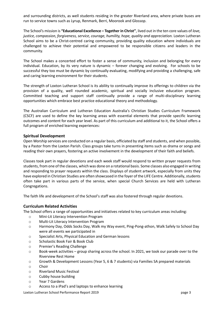and surrounding districts, as well students residing in the greater Riverland area, where private buses are run to service towns such as Lyrup, Renmark, Berri, Moorook and Glossop.

The School's mission is **"Educational Excellence – Together in Christ"**, lived out in the ten core values of *love, justice, compassion, forgiveness, service, courage, humility, hope, quality and appreciation.* Loxton Lutheran School aims to be a Christ-centred caring community, providing quality education where individuals are challenged to achieve their potential and empowered to be responsible citizens and leaders in the community.

The School makes a concerted effort to foster a sense of community, inclusion and belonging for every individual. Education, by its very nature is dynamic – forever changing and evolving. For schools to be successful they too must be dynamic by continually evaluating, modifying and providing a challenging, safe and caring learning environment for their students.

The strength of Loxton Lutheran School is its ability to continually improve its offerings to children via the provision of a quality, well rounded academic, spiritual and socially inclusive education program. Committed teaching and support staff continually provide a range of multi-disciplinary learning opportunities which embrace best practice educational theory and methodology.

The Australian Curriculum and Lutheran Education Australia's Christian Studies Curriculum Framework (CSCF) are used to define the key learning areas with essential elements that provide specific learning outcomes and content for each year level. As part of this curriculum and additional to it, the School offers a full program of enriched learning experiences:

## **Spiritual Development**

Open Worship services are conducted on a regular basis, officiated by staff and students, and when possible, by a Pastor from the Loxton Parish. Class groups take turns in presenting items such as drama or songs and reading their own prayers, fostering an active involvement in the development of their faith and beliefs.

Classes took part in regular devotions and each week staff would respond to written prayer requests from students, from one of the classes, which was done on a rotational basis. Some classes also engaged in writing and responding to prayer requests within the class. Displays of student artwork, especially from units they have explored in Christian Studies are often showcased in the foyer of the LIFE Centre. Additionally, students often take part in various parts of the service, when special Church Services are held with Lutheran Congregations.

The faith life and development of the School's staff was also fostered through regular devotions.

# **Curriculum Related Activities**

The School offers a range of opportunities and initiatives related to key curriculum areas including:

- o Mini-Lit Literacy Intervention Program
- o Multi-Lit Literacy Intervention Program
- o Harmony Day, Odds Socks Day, Walk my Way event, Ping-Pong-athon, Walk Safely to School Day were all events we participated in
- o Specialist Arts, Physical Education and German lessons
- o Scholastic Book Fair & Book Club
- o Premier's Reading Challenge
- o Book-week activities group sharing across the school. In 2021, we took our parade over to the Riverview Rest Home
- o Growth & Development Lessons (Year 5, 6 & 7 students) via Families SA prepared materials
- o Choir
- o Riverland Music Festival
- o Cubby house building
- o Year 7 Gardens
- o Access to a iPad's and laptops to enhance learning

Loxton Lutheran School Performance Report 2019 **blue 2019** bage 3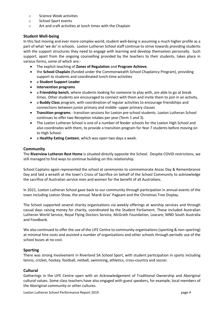- o Science Week activities
- o School Sport events
- o Art and craft activities at lunch times with the Chaplain

# **Student Well-being**

In this fast moving and ever more complex world, student well-being is assuming a much higher profile as a part of what 'we do' in schools. Loxton Lutheran School staff continue to strive towards providing students with the support structures they need to engage with learning and develop themselves personally. Such support, apart from the ongoing counselling provided by the teachers to their students, takes place in various forms, some of which are:-

- The explicit teaching of **Zones of Regulation** and **Program Achieve**.
- the **School Chaplain** (funded under the Commonwealth School Chaplaincy Program), providing support to students and coordinated lunch-time activities
- a **Student Support Leader**
- **intervention programs**
- a **Friendship bench**, where students looking for someone to play with, are able to go at break times. Other students are encouraged to connect with them and invite them to join in an activity.
- a **Buddy Class** program, with coordination of regular activities to encourage friendships and connections between junior primary and middle -upper primary classes
- **Transition programs** transition sessions for Loxton pre-school students. Loxton Lutheran School continues to offer two Reception intakes per year (Term 1 and 3).
- The Loxton Lutheran School is one of a number of feeder schools for the Loxton High School and also coordinates with them, to provide a transition program for Year 7 students before moving on to High School.
- a **Healthy Eating Canteen**, which was open two days a week.

## **Community**

The **Riverview Lutheran Rest Home** is situated directly opposite the School. Despite COVID restrictions, we still managed to find ways to continue building on this relationship.

School Captains again represented the school at ceremonies to commemorate Anzac Day & Remembrance Day and laid a wreath at the town's Cross of Sacrifice on behalf of the School Community to acknowledge the sacrifice of Australian service men and women for the benefit of all Australians.

In 2021, Loxton Lutheran School gave back to our community through participation in annual events of the town including Loxton Show, the annual 'Mardi Gras' Pageant and the Christmas Tree Display.

The School supported several charity organisations via weekly offerings at worship services and through casual days raising money for charity, coordinated by the Student Parliament. These included Australian Lutheran World Service, Royal Flying Doctors Service, McGrath Foundation, Loxcare, MND South Australia and Foodbank.

We also continued to offer the use of the LIFE Centre to community organisations (sporting & non-sporting) at minimal hire costs and assisted a number of organisations and other schools through periodic use of the school buses at no cost.

## **Sporting**

There was strong Involvement in Riverland SA School Sport, with student participation in sports including tennis, cricket, hockey, football, netball, swimming, athletics, cross-country and soccer.

## **Cultural**

Gatherings in the LIFE Centre open with an Acknowledgement of Traditional Ownership and Aboriginal cultural values. Some class teachers have also engaged with guest speakers, for example, local members of the Aboriginal community or other cultures.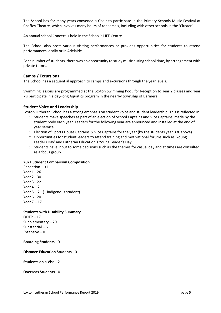The School has for many years convened a Choir to participate in the Primary Schools Music Festival at Chaffey Theatre, which involves many hours of rehearsals, including with other schools in the 'Cluster'.

An annual school Concert is held in the School's LIFE Centre.

The School also hosts various visiting performances or provides opportunities for students to attend performances locally or in Adelaide.

For a number of students, there was an opportunity to study music during school time, by arrangement with private tutors.

#### **Camps / Excursions**

The School has a sequential approach to camps and excursions through the year levels.

Swimming lessons are programmed at the Loxton Swimming Pool, for Reception to Year 2 classes and Year 7's participate in a day-long Aquatics program in the nearby township of Barmera.

#### **Student Voice and Leadership**

Loxton Lutheran School has a strong emphasis on student voice and student leadership. This is reflected in:

- o Students make speeches as part of an election of School Captains and Vice Captains, made by the student body each year. Leaders for the following year are announced and installed at the end of year service.
- o Election of Sports House Captains & Vice Captains for the year (by the students year 3 & above)
- o Opportunities for student leaders to attend training and motivational forums such as 'Young Leaders Day' and Lutheran Education's Young Leader's Day
- $\circ$  Students have input to some decisions such as the themes for casual day and at times are consulted as a focus group.

#### **2021 Student Comparison Composition**

Reception – 31 Year 1 - 26 Year 2 - 30 Year 3 - 22 Year 4 – 21 Year  $5 - 21$  (1 indigenous student) Year 6 - 20 Year 7 **–** 17

#### **Students with Disability Summary**

 $QDTP - 17$ Supplementary – 20 Substantial – 6 Extensive – 0

#### **Boarding Students** - 0

## **Distance Education Students** - 0

**Students on a Visa** - 2

#### **Overseas Students** - 0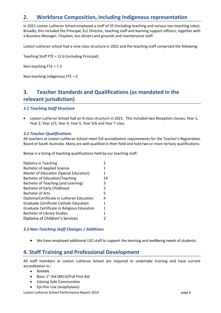# **2. Workforce Composition, including Indigenous representation**

In 2021 Loxton Lutheran School employed a staff of 35 (including teaching and various non-teaching roles). Broadly, this included the Principal, ELC Director, teaching staff and learning support officers, together with a Business Manager, Chaplain, bus drivers and grounds and maintenance staff.

Loxton Lutheran school had a nine-class structure in 2021 and the teaching staff comprised the following:

Teaching Staff FTE = 12.6 (including Principal)

Non-teaching FTE = 7.3

Non-teaching Indigenous FTE = 0

# **3. Teacher Standards and Qualifications (as mandated in the relevant jurisdiction)**

## *3.1 Teaching Staff Structure*

• Loxton Lutheran School had an 9-class structure in 2021. This included two Reception classes, Year 1, Year 2, Year 2/3, Year 4, Year 5, Year 5/6 and Year 7 class.

## *3.2 Teacher Qualifications*

All teachers at Loxton Lutheran School meet full accreditation requirements for the Teacher's Registration Board of South Australia. Many are well qualified in their field and hold two or more tertiary qualifications.

Below is a listing of teaching qualifications held by our teaching staff:

| 1             |
|---------------|
| 1             |
| 14            |
| 3             |
| $\mathcal{P}$ |
| 5             |
| 4             |
| 1             |
| 1             |
| 1             |
|               |
|               |

## *3.3 Non-Teaching Staff Changes / Additions*

• We have employed additional LSO staff to support the learning and wellbeing needs of students.

# **4. Staff Training and Professional Development**

All staff members at Loxton Lutheran School are required to undertake training and have current accreditation in:-

- RHHAN
- Basic  $1^{st}$  Aid (BELS)/Full First Aid
- Valuing Safe Communities
- Epi-Pen Use (anaphylaxis)

Loxton Lutheran School Performance Report 2019 **by a strategies and the Control** page 6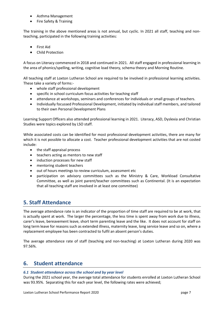- Asthma Management
- Fire Safety & Training

The training in the above mentioned areas is not annual, but cyclic. In 2021 all staff, teaching and nonteaching, participated in the following training activities:

- First Aid
- Child Protection

A focus on Literacy commenced in 2018 and continued in 2021. All staff engaged in professional learning in the area of phonics/spelling, writing, cognitive load theory, schema theory and Morning Routine.

All teaching staff at Loxton Lutheran School are required to be involved in professional learning activities. These take a variety of forms:-

- whole staff professional development
- specific in school curriculum focus activities for teaching staff
- attendance at workshops, seminars and conferences for individuals or small groups of teachers.
- Individually focussed Professional Development, initiated by individual staff members, and tailored to their own Personal Development Plans

Learning Support Officers also attended professional learning in 2021. Literacy, ASD, Dyslexia and Christian Studies were topics explored by LSO staff.

While associated costs can be identified for most professional development activities, there are many for which it is not possible to allocate a cost. Teacher professional development activities that are not costed include:

- the staff appraisal process
- teachers acting as mentors to new staff
- induction processes for new staff
- mentoring student teachers
- out of hours meetings to review curriculum, assessment etc
- participation on advisory committees such as the Ministry & Care, Workload Consultative Committee, as well as joint parent/teacher committees such as Continental. (It is an expectation that all teaching staff are involved in at least one committee)

# **5. Staff Attendance**

The average attendance rate is an indicator of the proportion of time staff are required to be at work, that is actually spent at work. The larger the percentage, the less time is spent away from work due to illness, carer's leave, bereavement leave, short term parenting leave and the like. It does not account for staff on long term leave for reasons such as extended illness, maternity leave, long service leave and so on, where a replacement employee has been contracted to fulfil an absent person's duties.

The average attendance rate of staff (teaching and non-teaching) at Loxton Lutheran during 2020 was 97.56%.

# **6. Student attendance**

## *6.1 Student attendance across the school and by year level*

During the 2021 school year, the average total attendance for students enrolled at Loxton Lutheran School was 93.95%. Separating this for each year level, the following rates were achieved;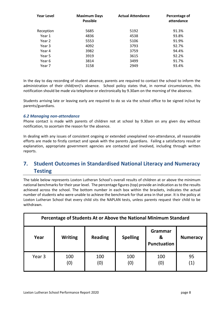| <b>Year Level</b> | <b>Maximum Days</b><br><b>Possible</b> | <b>Actual Attendance</b> | Percentage of<br>attendance |
|-------------------|----------------------------------------|--------------------------|-----------------------------|
| Reception         | 5685                                   | 5192                     | 91.3%                       |
| Year 1            | 4836                                   | 4538                     | 93.8%                       |
| Year 2            | 5553                                   | 5106                     | 91.9%                       |
| Year 3            | 4092                                   | 3793                     | 92.7%                       |
| Year 4            | 3982                                   | 3759                     | 94.4%                       |
| Year 5            | 3919                                   | 3615                     | 92.2%                       |
| Year 6            | 3814                                   | 3499                     | 91.7%                       |
| Year 7            | 3158                                   | 2949                     | 93.4%                       |
|                   |                                        |                          |                             |

In the day to day recording of student absence, parents are required to contact the school to inform the administration of their child(ren)'s absence. School policy states that, in normal circumstances, this notification should be made via telephone or electronically by 9.30am on the morning of the absence.

Students arriving late or leaving early are required to do so via the school office to be signed in/out by parents/guardians.

# *6.2 Managing non-attendance*

Phone contact is made with parents of children not at school by 9.30am on any given day without notification, to ascertain the reason for the absence.

In dealing with any issues of consistent ongoing or extended unexplained non-attendance, all reasonable efforts are made to firstly contact and speak with the parents /guardians. Failing a satisfactory result or explanation, appropriate government agencies are contacted and involved, including through written reports.

# **7. Student Outcomes in Standardised National Literacy and Numeracy Testing**

The table below represents Loxton Lutheran School's overall results of children at or above the minimum national benchmarks for their year level. The percentage figures (top) provide an indication as to the results achieved across the school. The bottom number in each box within the brackets, indicates the actual number of students who were unable to achieve the benchmark for that area in that year. It is the policy at Loxton Lutheran School that every child sits the NAPLAN tests, unless parents request their child to be withdrawn.

| Percentage of Students At or Above the National Minimum Standard |                |                |                 |                                    |                 |
|------------------------------------------------------------------|----------------|----------------|-----------------|------------------------------------|-----------------|
| Year                                                             | <b>Writing</b> | <b>Reading</b> | <b>Spelling</b> | Grammar<br>&<br><b>Punctuation</b> | <b>Numeracy</b> |
| Year 3                                                           | 100<br>(0)     | 100<br>(0)     | 100<br>(0)      | 100<br>(0)                         | 95<br>(1)       |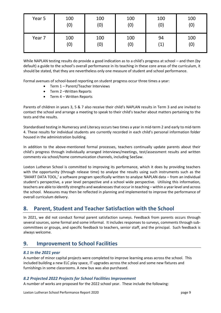| Year 5 | 100 | 100 | 100 | 100               | 100 |
|--------|-----|-----|-----|-------------------|-----|
|        | (0) | (0) | (0) | (0)               | (0) |
| Year 7 | 100 | 100 | 100 | 94                | 100 |
|        | (0) | (0) | (0) | $\left( 1\right)$ | (0) |

While NAPLAN testing results do provide a good indication as to a child's progress at school – and then (by default) a guide to the school's overall performance in its teaching in these core areas of the curriculum, it should be stated, that they are nevertheless only one measure of student and school performance.

Formal avenues of school-based reporting on student progress occur three times a year:

- Term 1 Parent/Teacher Interviews
- Term 2 –Written Reports
- Term 4 Written Reports

Parents of children in years 3, 5 & 7 also receive their child's NAPLAN results in Term 3 and are invited to contact the school and arrange a meeting to speak to their child's teacher about matters pertaining to the tests and the results.

Standardised testing in Numeracy and Literacy occurs two times a year in mid-term 2 and early to mid-term 4. These results for individual students are currently recorded in each child's personal information folder housed in the administration building.

In addition to the above-mentioned formal processes, teachers continually update parents about their child's progress through individually arranged interviews/meetings, test/assessment results and written comments via school/home communication channels, including SeeSaw.

Loxton Lutheran School is committed to improving its performance, which it does by providing teachers with the opportunity (through release time) to analyse the results using such instruments such as the 'SMART DATA TOOL,' a software program specifically written to analyse NAPLAN data – from an individual student's perspective, a year level perspective and a school wide perspective. Utilising this information, teachers are able to identify strengths and weaknessesthat occur in teaching – within a year level and across the school. Measures may then be reflected in planning and implemented to improve the performance of overall curriculum delivery.

# **8. Parent, Student and Teacher Satisfaction with the School**

In 2021, we did not conduct formal parent satisfaction surveys. Feedback from parents occurs through several sources, some formal and some informal. It includes responses to surveys, comments through subcommittees or groups, and specific feedback to teachers, senior staff, and the principal. Such feedback is always welcome.

# **9. Improvement to School Facilities**

# *8.1 In the 2021 year*

A number of minor capital projects were completed to improve learning areas across the school. This included building a new ELC play space, IT upgrades across the school and some new fixtures and furnishings in some classrooms. A new bus was also purchased.

## *8.2 Projected 2022 Projects for School Facilities Improvement*

A number of works are proposed for the 2022 school year. These include the following:

Loxton Lutheran School Performance Report 2020 **page 9** page 9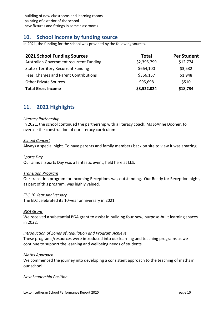-building of new classrooms and learning rooms -painting of exterior of the school -new fixtures and fittings in some classrooms

# **10. School income by funding source**

In 2021, the funding for the school was provided by the following sources.

| <b>2021 School Funding Sources</b>      | <b>Total</b> | <b>Per Student</b> |
|-----------------------------------------|--------------|--------------------|
| Australian Government recurrent Funding | \$2,395,799  | \$12,774           |
| State / Territory Recurrent Funding     | \$664,100    | \$3,532            |
| Fees, Charges and Parent Contributions  | \$366,157    | \$1,948            |
| <b>Other Private Sources</b>            | \$95,698     | \$510              |
| <b>Total Gross Income</b>               | \$3,522,024  | \$18,734           |

# **11. 2021 Highlights**

## *Literacy Partnership*

In 2021, the school continued the partnership with a literacy coach, Ms JoAnne Dooner, to oversee the construction of our literacy curriculum.

## *School Concert*

Always a special night. To have parents and family members back on site to view it was amazing.

## *Sports Day*

Our annual Sports Day was a fantastic event, held here at LLS.

# *Transition Program*

Our transition program for incoming Receptions was outstanding. Our Ready for Reception night, as part of this program, was highly valued.

# *ELC 10 Year Anniversary*

The ELC celebrated its 10-year anniversary in 2021.

# *BGA Grant*

We received a substantial BGA grant to assist in building four new, purpose-built learning spaces in 2022.

# *Introduction of Zones of Regulation and Program Achieve*

These programs/resources were introduced into our learning and teaching programs as we continue to support the learning and wellbeing needs of students.

# *Maths Approach*

We commenced the journey into developing a consistent approach to the teaching of maths in our school.

## *New Leadership Position*